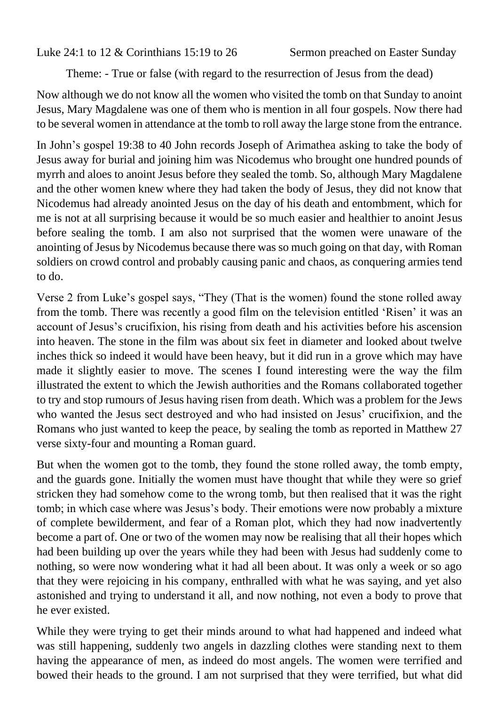Luke 24:1 to 12 & Corinthians 15:19 to 26 Sermon preached on Easter Sunday

Theme: - True or false (with regard to the resurrection of Jesus from the dead)

Now although we do not know all the women who visited the tomb on that Sunday to anoint Jesus, Mary Magdalene was one of them who is mention in all four gospels. Now there had to be several women in attendance at the tomb to roll away the large stone from the entrance.

In John's gospel 19:38 to 40 John records Joseph of Arimathea asking to take the body of Jesus away for burial and joining him was Nicodemus who brought one hundred pounds of myrrh and aloes to anoint Jesus before they sealed the tomb. So, although Mary Magdalene and the other women knew where they had taken the body of Jesus, they did not know that Nicodemus had already anointed Jesus on the day of his death and entombment, which for me is not at all surprising because it would be so much easier and healthier to anoint Jesus before sealing the tomb. I am also not surprised that the women were unaware of the anointing of Jesus by Nicodemus because there was so much going on that day, with Roman soldiers on crowd control and probably causing panic and chaos, as conquering armies tend to do.

Verse 2 from Luke's gospel says, "They (That is the women) found the stone rolled away from the tomb. There was recently a good film on the television entitled 'Risen' it was an account of Jesus's crucifixion, his rising from death and his activities before his ascension into heaven. The stone in the film was about six feet in diameter and looked about twelve inches thick so indeed it would have been heavy, but it did run in a grove which may have made it slightly easier to move. The scenes I found interesting were the way the film illustrated the extent to which the Jewish authorities and the Romans collaborated together to try and stop rumours of Jesus having risen from death. Which was a problem for the Jews who wanted the Jesus sect destroyed and who had insisted on Jesus' crucifixion, and the Romans who just wanted to keep the peace, by sealing the tomb as reported in Matthew 27 verse sixty-four and mounting a Roman guard.

But when the women got to the tomb, they found the stone rolled away, the tomb empty, and the guards gone. Initially the women must have thought that while they were so grief stricken they had somehow come to the wrong tomb, but then realised that it was the right tomb; in which case where was Jesus's body. Their emotions were now probably a mixture of complete bewilderment, and fear of a Roman plot, which they had now inadvertently become a part of. One or two of the women may now be realising that all their hopes which had been building up over the years while they had been with Jesus had suddenly come to nothing, so were now wondering what it had all been about. It was only a week or so ago that they were rejoicing in his company, enthralled with what he was saying, and yet also astonished and trying to understand it all, and now nothing, not even a body to prove that he ever existed.

While they were trying to get their minds around to what had happened and indeed what was still happening, suddenly two angels in dazzling clothes were standing next to them having the appearance of men, as indeed do most angels. The women were terrified and bowed their heads to the ground. I am not surprised that they were terrified, but what did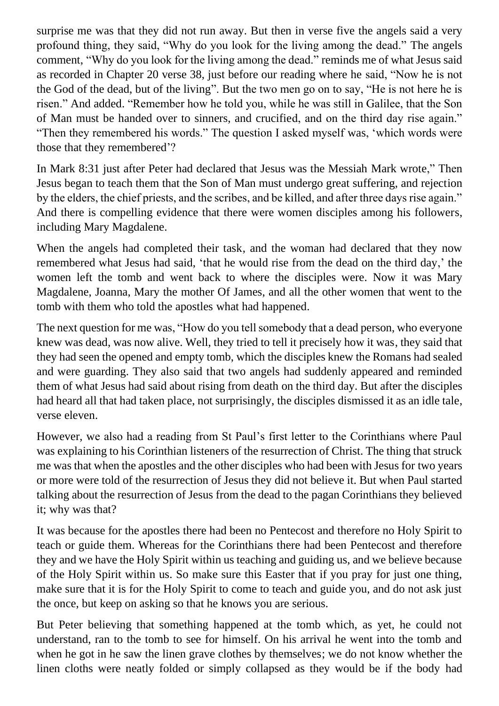surprise me was that they did not run away. But then in verse five the angels said a very profound thing, they said, "Why do you look for the living among the dead." The angels comment, "Why do you look for the living among the dead." reminds me of what Jesus said as recorded in Chapter 20 verse 38, just before our reading where he said, "Now he is not the God of the dead, but of the living". But the two men go on to say, "He is not here he is risen." And added. "Remember how he told you, while he was still in Galilee, that the Son of Man must be handed over to sinners, and crucified, and on the third day rise again." "Then they remembered his words." The question I asked myself was, 'which words were those that they remembered'?

In Mark 8:31 just after Peter had declared that Jesus was the Messiah Mark wrote," Then Jesus began to teach them that the Son of Man must undergo great suffering, and rejection by the elders, the chief priests, and the scribes, and be killed, and after three days rise again." And there is compelling evidence that there were women disciples among his followers, including Mary Magdalene.

When the angels had completed their task, and the woman had declared that they now remembered what Jesus had said, 'that he would rise from the dead on the third day,' the women left the tomb and went back to where the disciples were. Now it was Mary Magdalene, Joanna, Mary the mother Of James, and all the other women that went to the tomb with them who told the apostles what had happened.

The next question for me was, "How do you tell somebody that a dead person, who everyone knew was dead, was now alive. Well, they tried to tell it precisely how it was, they said that they had seen the opened and empty tomb, which the disciples knew the Romans had sealed and were guarding. They also said that two angels had suddenly appeared and reminded them of what Jesus had said about rising from death on the third day. But after the disciples had heard all that had taken place, not surprisingly, the disciples dismissed it as an idle tale, verse eleven.

However, we also had a reading from St Paul's first letter to the Corinthians where Paul was explaining to his Corinthian listeners of the resurrection of Christ. The thing that struck me was that when the apostles and the other disciples who had been with Jesus for two years or more were told of the resurrection of Jesus they did not believe it. But when Paul started talking about the resurrection of Jesus from the dead to the pagan Corinthians they believed it; why was that?

It was because for the apostles there had been no Pentecost and therefore no Holy Spirit to teach or guide them. Whereas for the Corinthians there had been Pentecost and therefore they and we have the Holy Spirit within us teaching and guiding us, and we believe because of the Holy Spirit within us. So make sure this Easter that if you pray for just one thing, make sure that it is for the Holy Spirit to come to teach and guide you, and do not ask just the once, but keep on asking so that he knows you are serious.

But Peter believing that something happened at the tomb which, as yet, he could not understand, ran to the tomb to see for himself. On his arrival he went into the tomb and when he got in he saw the linen grave clothes by themselves; we do not know whether the linen cloths were neatly folded or simply collapsed as they would be if the body had